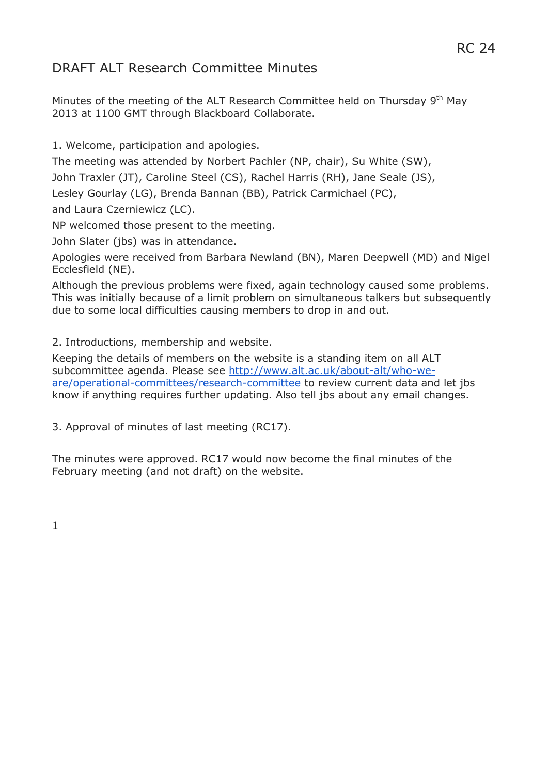# RC 24

# DRAFT ALT Research Committee Minutes

Minutes of the meeting of the ALT Research Committee held on Thursday 9<sup>th</sup> May 2013 at 1100 GMT through Blackboard Collaborate.

1. Welcome, participation and apologies.

The meeting was attended by Norbert Pachler (NP, chair), Su White (SW),

John Traxler (JT), Caroline Steel (CS), Rachel Harris (RH), Jane Seale (JS),

Lesley Gourlay (LG), Brenda Bannan (BB), Patrick Carmichael (PC),

and Laura Czerniewicz (LC).

NP welcomed those present to the meeting.

John Slater (jbs) was in attendance.

Apologies were received from Barbara Newland (BN), Maren Deepwell (MD) and Nigel Ecclesfield (NE).

Although the previous problems were fixed, again technology caused some problems. This was initially because of a limit problem on simultaneous talkers but subsequently due to some local difficulties causing members to drop in and out.

2. Introductions, membership and website.

Keeping the details of members on the website is a standing item on all ALT subcommittee agenda. Please see [http://www.alt.ac.uk/about-alt/who-we](http://www.alt.ac.uk/about-alt/who-we-are/operational-committees/research-committee)[are/operational-committees/research-committee](http://www.alt.ac.uk/about-alt/who-we-are/operational-committees/research-committee) to review current data and let jbs know if anything requires further updating. Also tell jbs about any email changes.

3. Approval of minutes of last meeting (RC17).

The minutes were approved. RC17 would now become the final minutes of the February meeting (and not draft) on the website.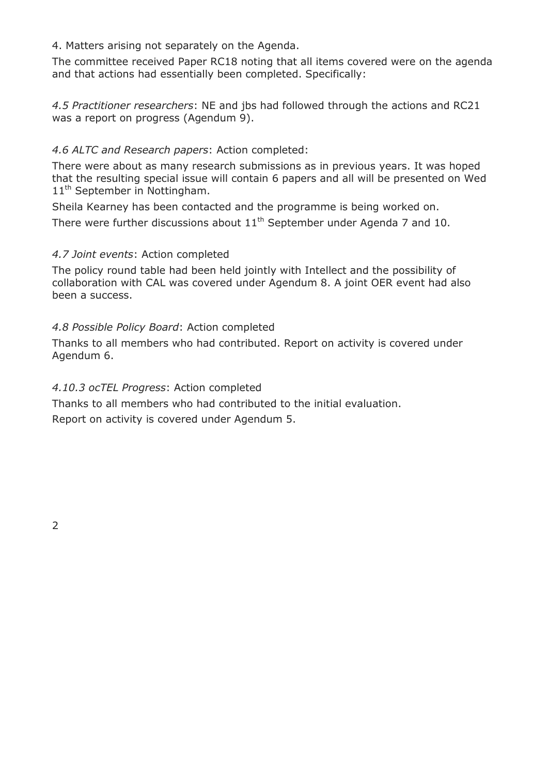4. Matters arising not separately on the Agenda.

The committee received Paper RC18 noting that all items covered were on the agenda and that actions had essentially been completed. Specifically:

*4.5 Practitioner researchers*: NE and jbs had followed through the actions and RC21 was a report on progress (Agendum 9).

### *4.6 ALTC and Research papers*: Action completed:

There were about as many research submissions as in previous years. It was hoped that the resulting special issue will contain 6 papers and all will be presented on Wed 11<sup>th</sup> September in Nottingham.

Sheila Kearney has been contacted and the programme is being worked on. There were further discussions about  $11<sup>th</sup>$  September under Agenda 7 and 10.

#### *4.7 Joint events*: Action completed

The policy round table had been held jointly with Intellect and the possibility of collaboration with CAL was covered under Agendum 8. A joint OER event had also been a success.

#### *4.8 Possible Policy Board*: Action completed

Thanks to all members who had contributed. Report on activity is covered under Agendum 6.

#### *4.10.3 ocTEL Progress*: Action completed

Thanks to all members who had contributed to the initial evaluation. Report on activity is covered under Agendum 5.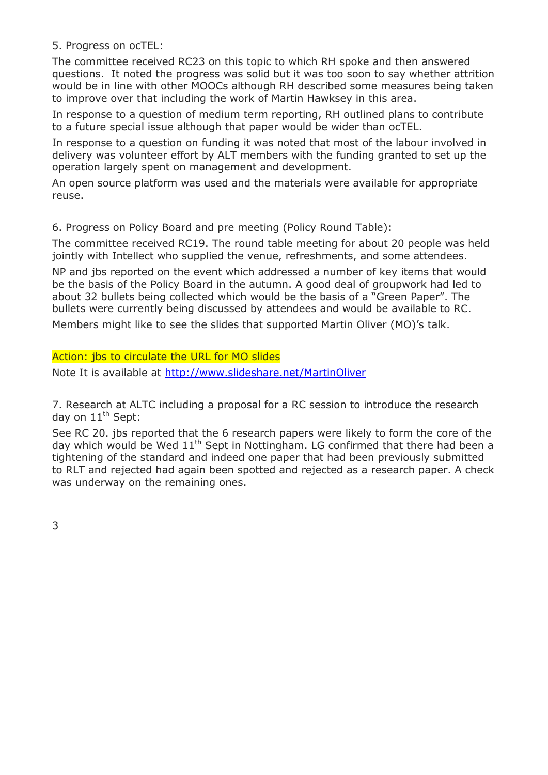5. Progress on ocTEL:

The committee received RC23 on this topic to which RH spoke and then answered questions. It noted the progress was solid but it was too soon to say whether attrition would be in line with other MOOCs although RH described some measures being taken to improve over that including the work of Martin Hawksey in this area.

In response to a question of medium term reporting, RH outlined plans to contribute to a future special issue although that paper would be wider than ocTEL.

In response to a question on funding it was noted that most of the labour involved in delivery was volunteer effort by ALT members with the funding granted to set up the operation largely spent on management and development.

An open source platform was used and the materials were available for appropriate reuse.

6. Progress on Policy Board and pre meeting (Policy Round Table):

The committee received RC19. The round table meeting for about 20 people was held jointly with Intellect who supplied the venue, refreshments, and some attendees.

NP and jbs reported on the event which addressed a number of key items that would be the basis of the Policy Board in the autumn. A good deal of groupwork had led to about 32 bullets being collected which would be the basis of a "Green Paper". The bullets were currently being discussed by attendees and would be available to RC.

Members might like to see the slides that supported Martin Oliver (MO)'s talk.

Action: jbs to circulate the URL for MO slides

Note It is available at<http://www.slideshare.net/MartinOliver>

7. Research at ALTC including a proposal for a RC session to introduce the research day on  $11<sup>th</sup>$  Sept:

See RC 20. jbs reported that the 6 research papers were likely to form the core of the day which would be Wed  $11<sup>th</sup>$  Sept in Nottingham. LG confirmed that there had been a tightening of the standard and indeed one paper that had been previously submitted to RLT and rejected had again been spotted and rejected as a research paper. A check was underway on the remaining ones.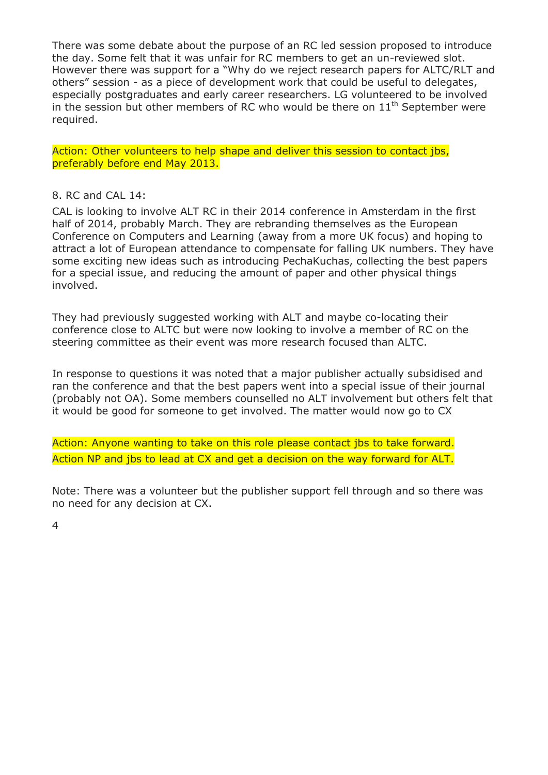There was some debate about the purpose of an RC led session proposed to introduce the day. Some felt that it was unfair for RC members to get an un-reviewed slot. However there was support for a "Why do we reject research papers for ALTC/RLT and others" session - as a piece of development work that could be useful to delegates, especially postgraduates and early career researchers. LG volunteered to be involved in the session but other members of RC who would be there on  $11<sup>th</sup>$  September were required.

Action: Other volunteers to help shape and deliver this session to contact jbs, preferably before end May 2013.

#### 8. RC and CAL 14:

CAL is looking to involve ALT RC in their 2014 conference in Amsterdam in the first half of 2014, probably March. They are rebranding themselves as the European Conference on Computers and Learning (away from a more UK focus) and hoping to attract a lot of European attendance to compensate for falling UK numbers. They have some exciting new ideas such as introducing PechaKuchas, collecting the best papers for a special issue, and reducing the amount of paper and other physical things involved.

They had previously suggested working with ALT and maybe co-locating their conference close to ALTC but were now looking to involve a member of RC on the steering committee as their event was more research focused than ALTC.

In response to questions it was noted that a major publisher actually subsidised and ran the conference and that the best papers went into a special issue of their journal (probably not OA). Some members counselled no ALT involvement but others felt that it would be good for someone to get involved. The matter would now go to CX

Action: Anyone wanting to take on this role please contact jbs to take forward. Action NP and jbs to lead at CX and get a decision on the way forward for ALT.

Note: There was a volunteer but the publisher support fell through and so there was no need for any decision at CX.

4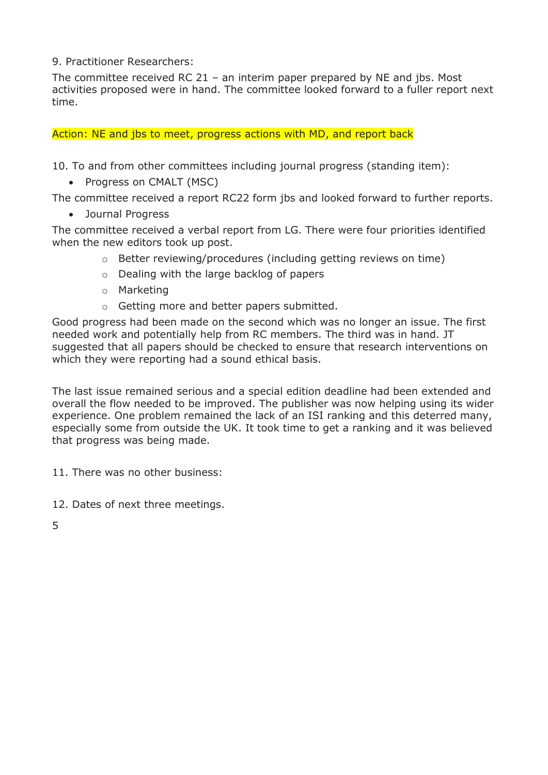9. Practitioner Researchers:

The committee received RC 21 – an interim paper prepared by NE and jbs. Most activities proposed were in hand. The committee looked forward to a fuller report next time.

Action: NE and jbs to meet, progress actions with MD, and report back

10. To and from other committees including journal progress (standing item):

• Progress on CMALT (MSC)

The committee received a report RC22 form jbs and looked forward to further reports.

Journal Progress

The committee received a verbal report from LG. There were four priorities identified when the new editors took up post.

- o Better reviewing/procedures (including getting reviews on time)
- o Dealing with the large backlog of papers
- o Marketing
- o Getting more and better papers submitted.

Good progress had been made on the second which was no longer an issue. The first needed work and potentially help from RC members. The third was in hand. JT suggested that all papers should be checked to ensure that research interventions on which they were reporting had a sound ethical basis.

The last issue remained serious and a special edition deadline had been extended and overall the flow needed to be improved. The publisher was now helping using its wider experience. One problem remained the lack of an ISI ranking and this deterred many, especially some from outside the UK. It took time to get a ranking and it was believed that progress was being made.

11. There was no other business:

- 12. Dates of next three meetings.
- 5